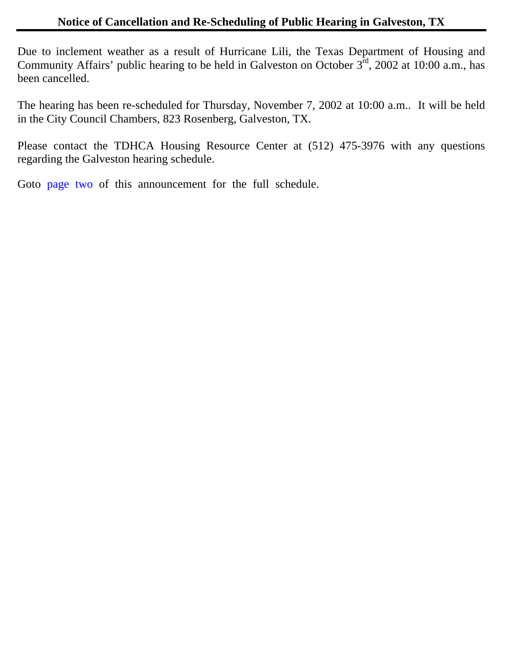Due to inclement weather as a result of Hurricane Lili, the Texas Department of Housing and Community Affairs' public hearing to be held in Galveston on October  $3^{\text{rd}}$ , 2002 at 10:00 a.m., has been cancelled.

The hearing has been re-scheduled for Thursday, November 7, 2002 at 10:00 a.m.. It will be held in the City Council Chambers, 823 Rosenberg, Galveston, TX.

Please contact the TDHCA Housing Resource Center at (512) 475-3976 with any questions regarding the Galveston hearing schedule.

Got[o page two](#page-1-0) of this announcement for the full schedule.